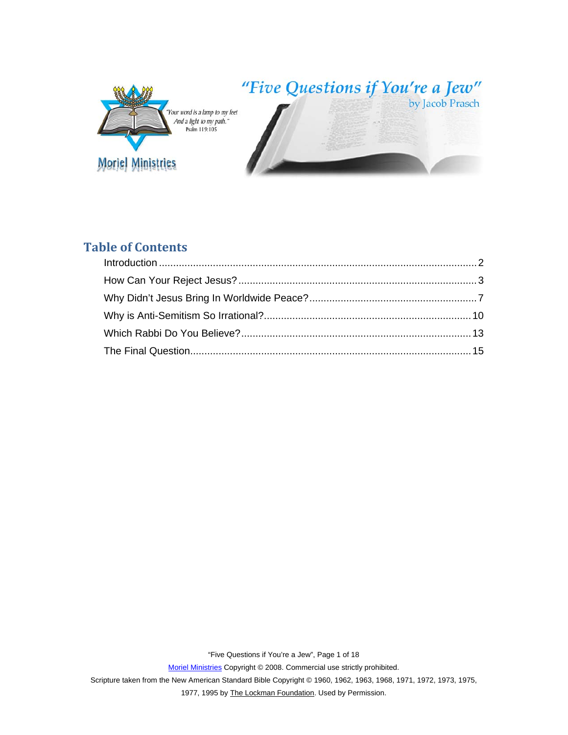

# **Table of Contents**

Scripture taken from the New American Standard Bible Copyright © 1960, 1962, 1963, 1968, 1971, 1972, 1973, 1975,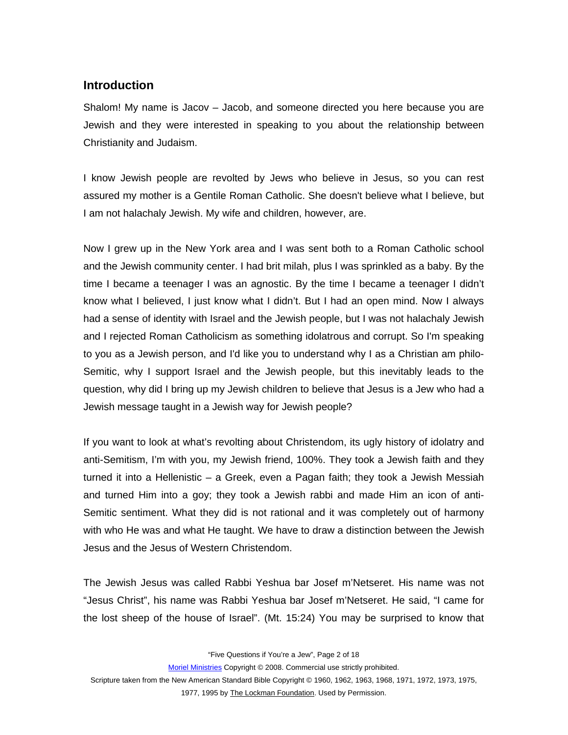## <span id="page-1-0"></span>**Introduction**

Shalom! My name is Jacov – Jacob, and someone directed you here because you are Jewish and they were interested in speaking to you about the relationship between Christianity and Judaism.

I know Jewish people are revolted by Jews who believe in Jesus, so you can rest assured my mother is a Gentile Roman Catholic. She doesn't believe what I believe, but I am not halachaly Jewish. My wife and children, however, are.

Now I grew up in the New York area and I was sent both to a Roman Catholic school and the Jewish community center. I had brit milah, plus I was sprinkled as a baby. By the time I became a teenager I was an agnostic. By the time I became a teenager I didn't know what I believed, I just know what I didn't. But I had an open mind. Now I always had a sense of identity with Israel and the Jewish people, but I was not halachaly Jewish and I rejected Roman Catholicism as something idolatrous and corrupt. So I'm speaking to you as a Jewish person, and I'd like you to understand why I as a Christian am philo-Semitic, why I support Israel and the Jewish people, but this inevitably leads to the question, why did I bring up my Jewish children to believe that Jesus is a Jew who had a Jewish message taught in a Jewish way for Jewish people?

If you want to look at what's revolting about Christendom, its ugly history of idolatry and anti-Semitism, I'm with you, my Jewish friend, 100%. They took a Jewish faith and they turned it into a Hellenistic – a Greek, even a Pagan faith; they took a Jewish Messiah and turned Him into a goy; they took a Jewish rabbi and made Him an icon of anti-Semitic sentiment. What they did is not rational and it was completely out of harmony with who He was and what He taught. We have to draw a distinction between the Jewish Jesus and the Jesus of Western Christendom.

The Jewish Jesus was called Rabbi Yeshua bar Josef m'Netseret. His name was not "Jesus Christ", his name was Rabbi Yeshua bar Josef m'Netseret. He said, "I came for the lost sheep of the house of Israel". (Mt. 15:24) You may be surprised to know that

"Five Questions if You're a Jew", Page 2 of 18

Moriel Ministries Copyright © 2008. Commercial use strictly prohibited.

Scripture taken from the New American Standard Bible Copyright © 1960, 1962, 1963, 1968, 1971, 1972, 1973, 1975,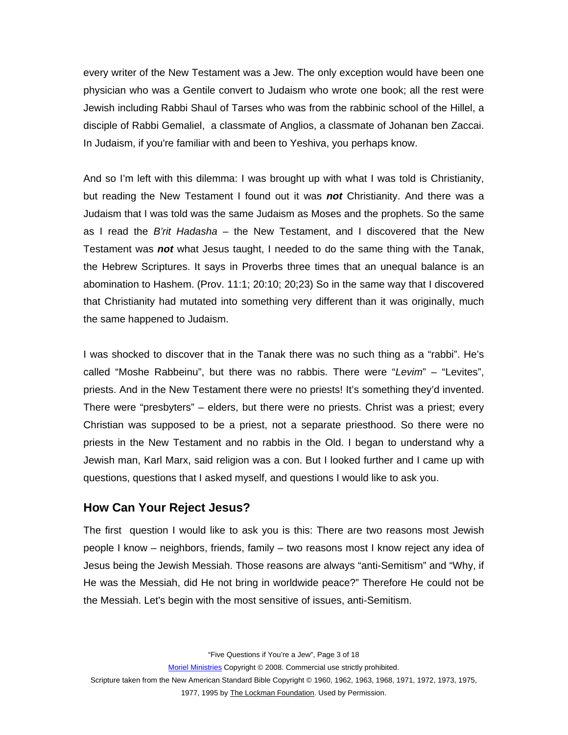<span id="page-2-0"></span>every writer of the New Testament was a Jew. The only exception would have been one physician who was a Gentile convert to Judaism who wrote one book; all the rest were Jewish including Rabbi Shaul of Tarses who was from the rabbinic school of the Hillel, a disciple of Rabbi Gemaliel, a classmate of Anglios, a classmate of Johanan ben Zaccai. In Judaism, if you're familiar with and been to Yeshiva, you perhaps know.

And so I'm left with this dilemma: I was brought up with what I was told is Christianity, but reading the New Testament I found out it was *not* Christianity. And there was a Judaism that I was told was the same Judaism as Moses and the prophets. So the same as I read the *B'rit Hadasha* – the New Testament, and I discovered that the New Testament was *not* what Jesus taught, I needed to do the same thing with the Tanak, the Hebrew Scriptures. It says in Proverbs three times that an unequal balance is an abomination to Hashem. (Prov. 11:1; 20:10; 20;23) So in the same way that I discovered that Christianity had mutated into something very different than it was originally, much the same happened to Judaism.

I was shocked to discover that in the Tanak there was no such thing as a "rabbi". He's called "Moshe Rabbeinu", but there was no rabbis. There were "*Levim*" – "Levites", priests. And in the New Testament there were no priests! It's something they'd invented. There were "presbyters" – elders, but there were no priests. Christ was a priest; every Christian was supposed to be a priest, not a separate priesthood. So there were no priests in the New Testament and no rabbis in the Old. I began to understand why a Jewish man, Karl Marx, said religion was a con. But I looked further and I came up with questions, questions that I asked myself, and questions I would like to ask you.

#### **How Can Your Reject Jesus?**

The first question I would like to ask you is this: There are two reasons most Jewish people I know – neighbors, friends, family – two reasons most I know reject any idea of Jesus being the Jewish Messiah. Those reasons are always "anti-Semitism" and "Why, if He was the Messiah, did He not bring in worldwide peace?" Therefore He could not be the Messiah. Let's begin with the most sensitive of issues, anti-Semitism.

"Five Questions if You're a Jew", Page 3 of 18

Moriel Ministries Copyright © 2008. Commercial use strictly prohibited.

Scripture taken from the New American Standard Bible Copyright © 1960, 1962, 1963, 1968, 1971, 1972, 1973, 1975,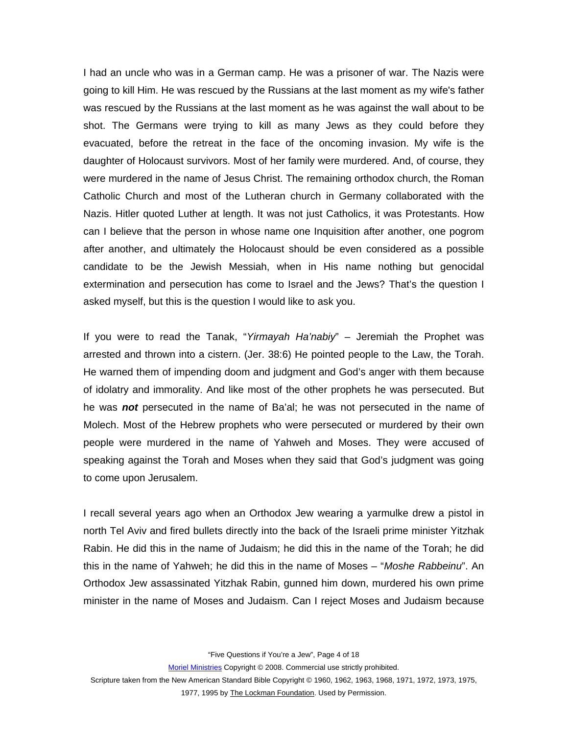I had an uncle who was in a German camp. He was a prisoner of war. The Nazis were going to kill Him. He was rescued by the Russians at the last moment as my wife's father was rescued by the Russians at the last moment as he was against the wall about to be shot. The Germans were trying to kill as many Jews as they could before they evacuated, before the retreat in the face of the oncoming invasion. My wife is the daughter of Holocaust survivors. Most of her family were murdered. And, of course, they were murdered in the name of Jesus Christ. The remaining orthodox church, the Roman Catholic Church and most of the Lutheran church in Germany collaborated with the Nazis. Hitler quoted Luther at length. It was not just Catholics, it was Protestants. How can I believe that the person in whose name one Inquisition after another, one pogrom after another, and ultimately the Holocaust should be even considered as a possible candidate to be the Jewish Messiah, when in His name nothing but genocidal extermination and persecution has come to Israel and the Jews? That's the question I asked myself, but this is the question I would like to ask you.

If you were to read the Tanak, "*Yirmayah Ha'nabiy*" – Jeremiah the Prophet was arrested and thrown into a cistern. (Jer. 38:6) He pointed people to the Law, the Torah. He warned them of impending doom and judgment and God's anger with them because of idolatry and immorality. And like most of the other prophets he was persecuted. But he was *not* persecuted in the name of Ba'al; he was not persecuted in the name of Molech. Most of the Hebrew prophets who were persecuted or murdered by their own people were murdered in the name of Yahweh and Moses. They were accused of speaking against the Torah and Moses when they said that God's judgment was going to come upon Jerusalem.

I recall several years ago when an Orthodox Jew wearing a yarmulke drew a pistol in north Tel Aviv and fired bullets directly into the back of the Israeli prime minister Yitzhak Rabin. He did this in the name of Judaism; he did this in the name of the Torah; he did this in the name of Yahweh; he did this in the name of Moses – "*Moshe Rabbeinu*". An Orthodox Jew assassinated Yitzhak Rabin, gunned him down, murdered his own prime minister in the name of Moses and Judaism. Can I reject Moses and Judaism because

"Five Questions if You're a Jew", Page 4 of 18

Moriel Ministries Copyright © 2008. Commercial use strictly prohibited.

Scripture taken from the New American Standard Bible Copyright © 1960, 1962, 1963, 1968, 1971, 1972, 1973, 1975,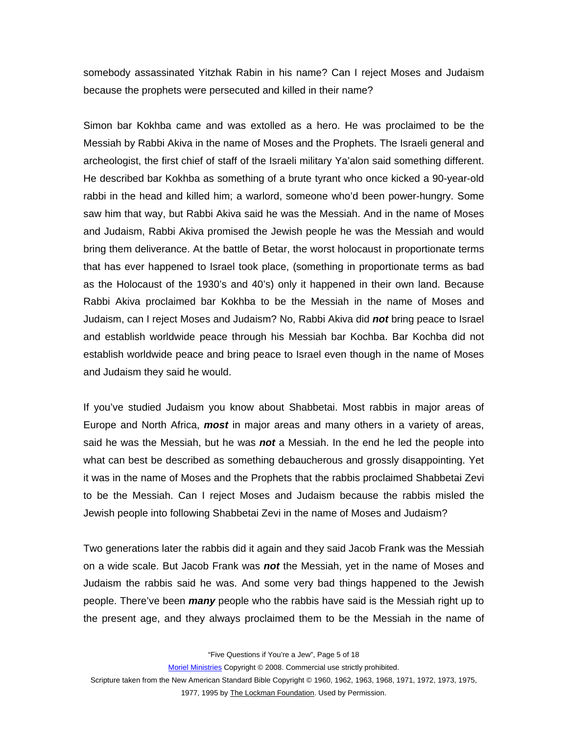somebody assassinated Yitzhak Rabin in his name? Can I reject Moses and Judaism because the prophets were persecuted and killed in their name?

Simon bar Kokhba came and was extolled as a hero. He was proclaimed to be the Messiah by Rabbi Akiva in the name of Moses and the Prophets. The Israeli general and archeologist, the first chief of staff of the Israeli military Ya'alon said something different. He described bar Kokhba as something of a brute tyrant who once kicked a 90-year-old rabbi in the head and killed him; a warlord, someone who'd been power-hungry. Some saw him that way, but Rabbi Akiva said he was the Messiah. And in the name of Moses and Judaism, Rabbi Akiva promised the Jewish people he was the Messiah and would bring them deliverance. At the battle of Betar, the worst holocaust in proportionate terms that has ever happened to Israel took place, (something in proportionate terms as bad as the Holocaust of the 1930's and 40's) only it happened in their own land. Because Rabbi Akiva proclaimed bar Kokhba to be the Messiah in the name of Moses and Judaism, can I reject Moses and Judaism? No, Rabbi Akiva did *not* bring peace to Israel and establish worldwide peace through his Messiah bar Kochba. Bar Kochba did not establish worldwide peace and bring peace to Israel even though in the name of Moses and Judaism they said he would.

If you've studied Judaism you know about Shabbetai. Most rabbis in major areas of Europe and North Africa, *most* in major areas and many others in a variety of areas, said he was the Messiah, but he was *not* a Messiah. In the end he led the people into what can best be described as something debaucherous and grossly disappointing. Yet it was in the name of Moses and the Prophets that the rabbis proclaimed Shabbetai Zevi to be the Messiah. Can I reject Moses and Judaism because the rabbis misled the Jewish people into following Shabbetai Zevi in the name of Moses and Judaism?

Two generations later the rabbis did it again and they said Jacob Frank was the Messiah on a wide scale. But Jacob Frank was *not* the Messiah, yet in the name of Moses and Judaism the rabbis said he was. And some very bad things happened to the Jewish people. There've been *many* people who the rabbis have said is the Messiah right up to the present age, and they always proclaimed them to be the Messiah in the name of

"Five Questions if You're a Jew", Page 5 of 18

Moriel Ministries Copyright © 2008. Commercial use strictly prohibited.

Scripture taken from the New American Standard Bible Copyright © 1960, 1962, 1963, 1968, 1971, 1972, 1973, 1975,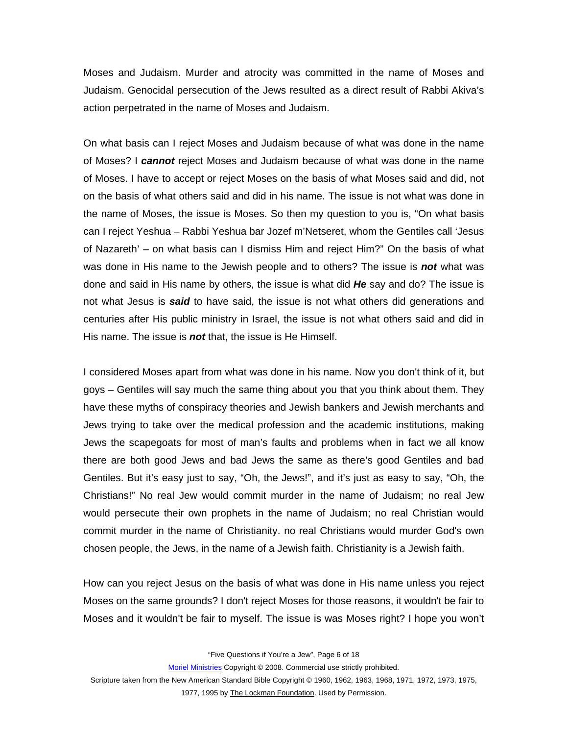Moses and Judaism. Murder and atrocity was committed in the name of Moses and Judaism. Genocidal persecution of the Jews resulted as a direct result of Rabbi Akiva's action perpetrated in the name of Moses and Judaism.

On what basis can I reject Moses and Judaism because of what was done in the name of Moses? I *cannot* reject Moses and Judaism because of what was done in the name of Moses. I have to accept or reject Moses on the basis of what Moses said and did, not on the basis of what others said and did in his name. The issue is not what was done in the name of Moses, the issue is Moses. So then my question to you is, "On what basis can I reject Yeshua – Rabbi Yeshua bar Jozef m'Netseret, whom the Gentiles call 'Jesus of Nazareth' – on what basis can I dismiss Him and reject Him?" On the basis of what was done in His name to the Jewish people and to others? The issue is *not* what was done and said in His name by others, the issue is what did *He* say and do? The issue is not what Jesus is *said* to have said, the issue is not what others did generations and centuries after His public ministry in Israel, the issue is not what others said and did in His name. The issue is *not* that, the issue is He Himself.

I considered Moses apart from what was done in his name. Now you don't think of it, but goys – Gentiles will say much the same thing about you that you think about them. They have these myths of conspiracy theories and Jewish bankers and Jewish merchants and Jews trying to take over the medical profession and the academic institutions, making Jews the scapegoats for most of man's faults and problems when in fact we all know there are both good Jews and bad Jews the same as there's good Gentiles and bad Gentiles. But it's easy just to say, "Oh, the Jews!", and it's just as easy to say, "Oh, the Christians!" No real Jew would commit murder in the name of Judaism; no real Jew would persecute their own prophets in the name of Judaism; no real Christian would commit murder in the name of Christianity. no real Christians would murder God's own chosen people, the Jews, in the name of a Jewish faith. Christianity is a Jewish faith.

How can you reject Jesus on the basis of what was done in His name unless you reject Moses on the same grounds? I don't reject Moses for those reasons, it wouldn't be fair to Moses and it wouldn't be fair to myself. The issue is was Moses right? I hope you won't

"Five Questions if You're a Jew", Page 6 of 18

Moriel Ministries Copyright © 2008. Commercial use strictly prohibited.

Scripture taken from the New American Standard Bible Copyright © 1960, 1962, 1963, 1968, 1971, 1972, 1973, 1975,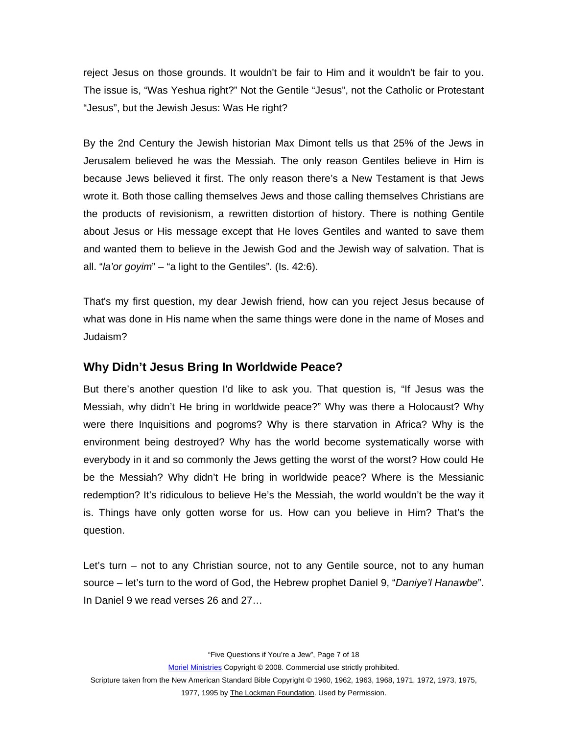<span id="page-6-0"></span>reject Jesus on those grounds. It wouldn't be fair to Him and it wouldn't be fair to you. The issue is, "Was Yeshua right?" Not the Gentile "Jesus", not the Catholic or Protestant "Jesus", but the Jewish Jesus: Was He right?

By the 2nd Century the Jewish historian Max Dimont tells us that 25% of the Jews in Jerusalem believed he was the Messiah. The only reason Gentiles believe in Him is because Jews believed it first. The only reason there's a New Testament is that Jews wrote it. Both those calling themselves Jews and those calling themselves Christians are the products of revisionism, a rewritten distortion of history. There is nothing Gentile about Jesus or His message except that He loves Gentiles and wanted to save them and wanted them to believe in the Jewish God and the Jewish way of salvation. That is all. "*la'or goyim*" – "a light to the Gentiles". (Is. 42:6).

That's my first question, my dear Jewish friend, how can you reject Jesus because of what was done in His name when the same things were done in the name of Moses and Judaism?

#### **Why Didn't Jesus Bring In Worldwide Peace?**

But there's another question I'd like to ask you. That question is, "If Jesus was the Messiah, why didn't He bring in worldwide peace?" Why was there a Holocaust? Why were there Inquisitions and pogroms? Why is there starvation in Africa? Why is the environment being destroyed? Why has the world become systematically worse with everybody in it and so commonly the Jews getting the worst of the worst? How could He be the Messiah? Why didn't He bring in worldwide peace? Where is the Messianic redemption? It's ridiculous to believe He's the Messiah, the world wouldn't be the way it is. Things have only gotten worse for us. How can you believe in Him? That's the question.

Let's turn – not to any Christian source, not to any Gentile source, not to any human source – let's turn to the word of God, the Hebrew prophet Daniel 9, "*Daniye'l Hanawbe*". In Daniel 9 we read verses 26 and 27…

"Five Questions if You're a Jew", Page 7 of 18

Moriel Ministries Copyright © 2008. Commercial use strictly prohibited.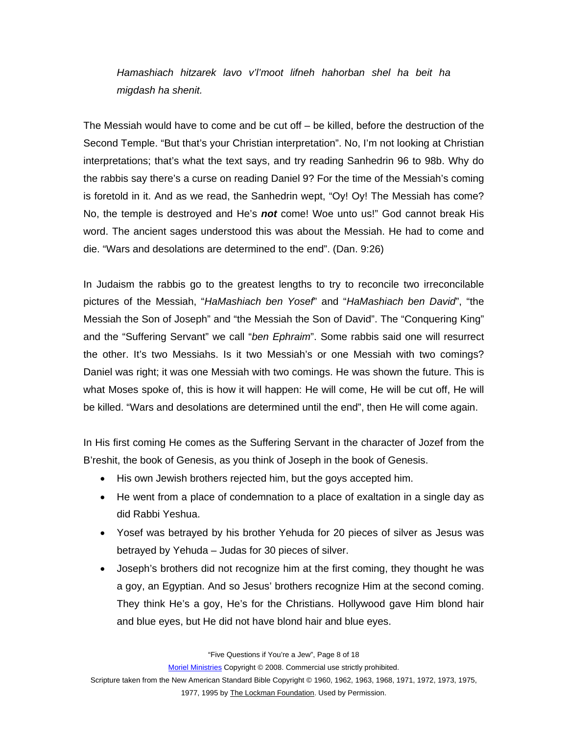*Hamashiach hitzarek lavo v'l'moot lifneh hahorban shel ha beit ha migdash ha shenit.* 

The Messiah would have to come and be cut off – be killed, before the destruction of the Second Temple. "But that's your Christian interpretation". No, I'm not looking at Christian interpretations; that's what the text says, and try reading Sanhedrin 96 to 98b. Why do the rabbis say there's a curse on reading Daniel 9? For the time of the Messiah's coming is foretold in it. And as we read, the Sanhedrin wept, "Oy! Oy! The Messiah has come? No, the temple is destroyed and He's *not* come! Woe unto us!" God cannot break His word. The ancient sages understood this was about the Messiah. He had to come and die. "Wars and desolations are determined to the end". (Dan. 9:26)

In Judaism the rabbis go to the greatest lengths to try to reconcile two irreconcilable pictures of the Messiah, "*HaMashiach ben Yosef*" and "*HaMashiach ben David*", "the Messiah the Son of Joseph" and "the Messiah the Son of David". The "Conquering King" and the "Suffering Servant" we call "*ben Ephraim*". Some rabbis said one will resurrect the other. It's two Messiahs. Is it two Messiah's or one Messiah with two comings? Daniel was right; it was one Messiah with two comings. He was shown the future. This is what Moses spoke of, this is how it will happen: He will come, He will be cut off, He will be killed. "Wars and desolations are determined until the end", then He will come again.

In His first coming He comes as the Suffering Servant in the character of Jozef from the B'reshit, the book of Genesis, as you think of Joseph in the book of Genesis.

- His own Jewish brothers rejected him, but the goys accepted him.
- He went from a place of condemnation to a place of exaltation in a single day as did Rabbi Yeshua.
- Yosef was betrayed by his brother Yehuda for 20 pieces of silver as Jesus was betrayed by Yehuda – Judas for 30 pieces of silver.
- Joseph's brothers did not recognize him at the first coming, they thought he was a goy, an Egyptian. And so Jesus' brothers recognize Him at the second coming. They think He's a goy, He's for the Christians. Hollywood gave Him blond hair and blue eyes, but He did not have blond hair and blue eyes.

"Five Questions if You're a Jew", Page 8 of 18

Moriel Ministries Copyright © 2008. Commercial use strictly prohibited.

Scripture taken from the New American Standard Bible Copyright © 1960, 1962, 1963, 1968, 1971, 1972, 1973, 1975,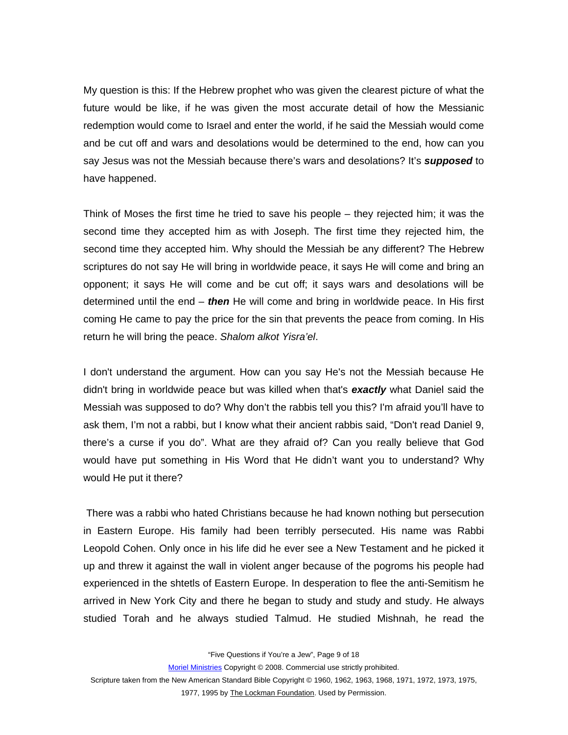My question is this: If the Hebrew prophet who was given the clearest picture of what the future would be like, if he was given the most accurate detail of how the Messianic redemption would come to Israel and enter the world, if he said the Messiah would come and be cut off and wars and desolations would be determined to the end, how can you say Jesus was not the Messiah because there's wars and desolations? It's *supposed* to have happened.

Think of Moses the first time he tried to save his people – they rejected him; it was the second time they accepted him as with Joseph. The first time they rejected him, the second time they accepted him. Why should the Messiah be any different? The Hebrew scriptures do not say He will bring in worldwide peace, it says He will come and bring an opponent; it says He will come and be cut off; it says wars and desolations will be determined until the end – *then* He will come and bring in worldwide peace. In His first coming He came to pay the price for the sin that prevents the peace from coming. In His return he will bring the peace. *Shalom alkot Yisra'el*.

I don't understand the argument. How can you say He's not the Messiah because He didn't bring in worldwide peace but was killed when that's *exactly* what Daniel said the Messiah was supposed to do? Why don't the rabbis tell you this? I'm afraid you'll have to ask them, I'm not a rabbi, but I know what their ancient rabbis said, "Don't read Daniel 9, there's a curse if you do". What are they afraid of? Can you really believe that God would have put something in His Word that He didn't want you to understand? Why would He put it there?

 There was a rabbi who hated Christians because he had known nothing but persecution in Eastern Europe. His family had been terribly persecuted. His name was Rabbi Leopold Cohen. Only once in his life did he ever see a New Testament and he picked it up and threw it against the wall in violent anger because of the pogroms his people had experienced in the shtetls of Eastern Europe. In desperation to flee the anti-Semitism he arrived in New York City and there he began to study and study and study. He always studied Torah and he always studied Talmud. He studied Mishnah, he read the

"Five Questions if You're a Jew", Page 9 of 18

Moriel Ministries Copyright © 2008. Commercial use strictly prohibited.

Scripture taken from the New American Standard Bible Copyright © 1960, 1962, 1963, 1968, 1971, 1972, 1973, 1975,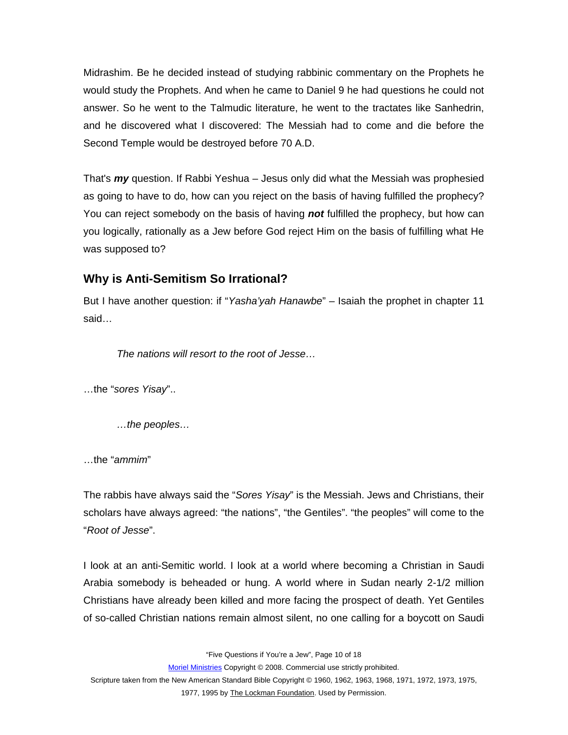<span id="page-9-0"></span>Midrashim. Be he decided instead of studying rabbinic commentary on the Prophets he would study the Prophets. And when he came to Daniel 9 he had questions he could not answer. So he went to the Talmudic literature, he went to the tractates like Sanhedrin, and he discovered what I discovered: The Messiah had to come and die before the Second Temple would be destroyed before 70 A.D.

That's *my* question. If Rabbi Yeshua – Jesus only did what the Messiah was prophesied as going to have to do, how can you reject on the basis of having fulfilled the prophecy? You can reject somebody on the basis of having *not* fulfilled the prophecy, but how can you logically, rationally as a Jew before God reject Him on the basis of fulfilling what He was supposed to?

# **Why is Anti-Semitism So Irrational?**

But I have another question: if "*Yasha'yah Hanawbe*" – Isaiah the prophet in chapter 11 said…

*The nations will resort to the root of Jesse…* 

…the "*sores Yisay*"..

*…the peoples…* 

…the "*ammim*"

The rabbis have always said the "*Sores Yisay*" is the Messiah. Jews and Christians, their scholars have always agreed: "the nations", "the Gentiles". "the peoples" will come to the "*Root of Jesse*".

I look at an anti-Semitic world. I look at a world where becoming a Christian in Saudi Arabia somebody is beheaded or hung. A world where in Sudan nearly 2-1/2 million Christians have already been killed and more facing the prospect of death. Yet Gentiles of so-called Christian nations remain almost silent, no one calling for a boycott on Saudi

"Five Questions if You're a Jew", Page 10 of 18

Moriel Ministries Copyright © 2008. Commercial use strictly prohibited.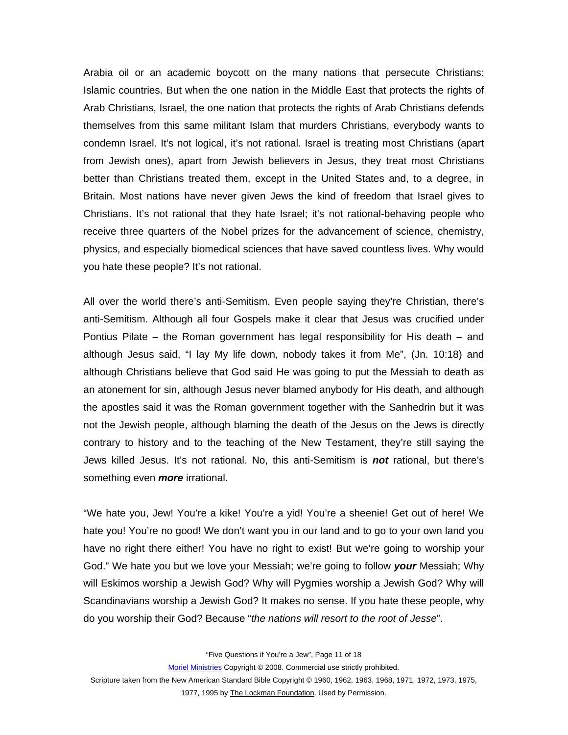Arabia oil or an academic boycott on the many nations that persecute Christians: Islamic countries. But when the one nation in the Middle East that protects the rights of Arab Christians, Israel, the one nation that protects the rights of Arab Christians defends themselves from this same militant Islam that murders Christians, everybody wants to condemn Israel. It's not logical, it's not rational. Israel is treating most Christians (apart from Jewish ones), apart from Jewish believers in Jesus, they treat most Christians better than Christians treated them, except in the United States and, to a degree, in Britain. Most nations have never given Jews the kind of freedom that Israel gives to Christians. It's not rational that they hate Israel; it's not rational-behaving people who receive three quarters of the Nobel prizes for the advancement of science, chemistry, physics, and especially biomedical sciences that have saved countless lives. Why would you hate these people? It's not rational.

All over the world there's anti-Semitism. Even people saying they're Christian, there's anti-Semitism. Although all four Gospels make it clear that Jesus was crucified under Pontius Pilate – the Roman government has legal responsibility for His death – and although Jesus said, "I lay My life down, nobody takes it from Me", (Jn. 10:18) and although Christians believe that God said He was going to put the Messiah to death as an atonement for sin, although Jesus never blamed anybody for His death, and although the apostles said it was the Roman government together with the Sanhedrin but it was not the Jewish people, although blaming the death of the Jesus on the Jews is directly contrary to history and to the teaching of the New Testament, they're still saying the Jews killed Jesus. It's not rational. No, this anti-Semitism is *not* rational, but there's something even *more* irrational.

"We hate you, Jew! You're a kike! You're a yid! You're a sheenie! Get out of here! We hate you! You're no good! We don't want you in our land and to go to your own land you have no right there either! You have no right to exist! But we're going to worship your God." We hate you but we love your Messiah; we're going to follow *your* Messiah; Why will Eskimos worship a Jewish God? Why will Pygmies worship a Jewish God? Why will Scandinavians worship a Jewish God? It makes no sense. If you hate these people, why do you worship their God? Because "*the nations will resort to the root of Jesse*".

"Five Questions if You're a Jew", Page 11 of 18

Moriel Ministries Copyright © 2008. Commercial use strictly prohibited.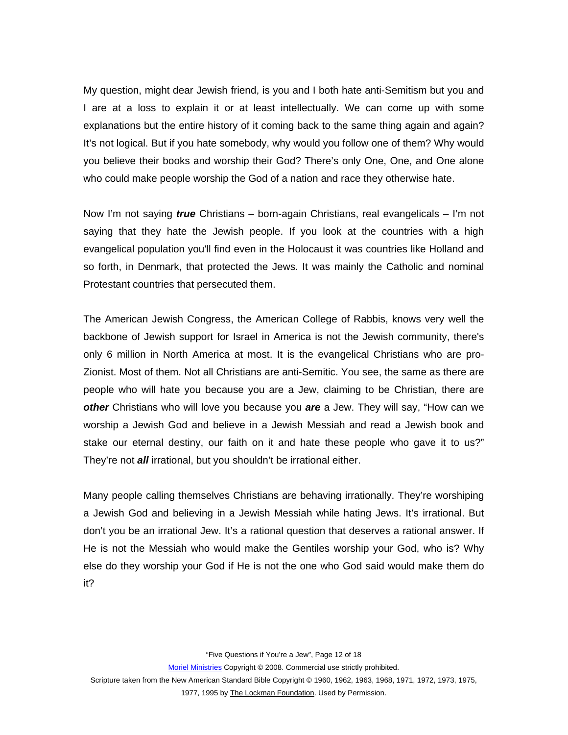My question, might dear Jewish friend, is you and I both hate anti-Semitism but you and I are at a loss to explain it or at least intellectually. We can come up with some explanations but the entire history of it coming back to the same thing again and again? It's not logical. But if you hate somebody, why would you follow one of them? Why would you believe their books and worship their God? There's only One, One, and One alone who could make people worship the God of a nation and race they otherwise hate.

Now I'm not saying *true* Christians – born-again Christians, real evangelicals – I'm not saying that they hate the Jewish people. If you look at the countries with a high evangelical population you'll find even in the Holocaust it was countries like Holland and so forth, in Denmark, that protected the Jews. It was mainly the Catholic and nominal Protestant countries that persecuted them.

The American Jewish Congress, the American College of Rabbis, knows very well the backbone of Jewish support for Israel in America is not the Jewish community, there's only 6 million in North America at most. It is the evangelical Christians who are pro-Zionist. Most of them. Not all Christians are anti-Semitic. You see, the same as there are people who will hate you because you are a Jew, claiming to be Christian, there are *other* Christians who will love you because you *are* a Jew. They will say, "How can we worship a Jewish God and believe in a Jewish Messiah and read a Jewish book and stake our eternal destiny, our faith on it and hate these people who gave it to us?" They're not *all* irrational, but you shouldn't be irrational either.

Many people calling themselves Christians are behaving irrationally. They're worshiping a Jewish God and believing in a Jewish Messiah while hating Jews. It's irrational. But don't you be an irrational Jew. It's a rational question that deserves a rational answer. If He is not the Messiah who would make the Gentiles worship your God, who is? Why else do they worship your God if He is not the one who God said would make them do it?

"Five Questions if You're a Jew", Page 12 of 18

Moriel Ministries Copyright © 2008. Commercial use strictly prohibited.

Scripture taken from the New American Standard Bible Copyright © 1960, 1962, 1963, 1968, 1971, 1972, 1973, 1975,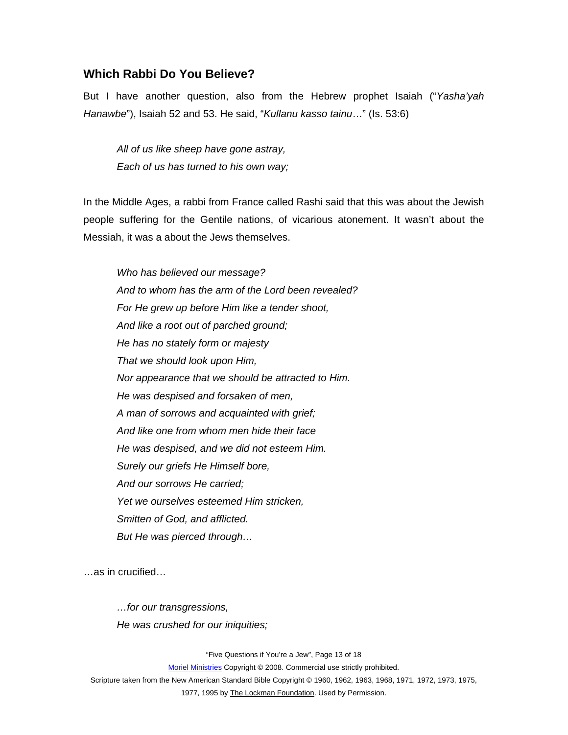#### <span id="page-12-0"></span>**Which Rabbi Do You Believe?**

But I have another question, also from the Hebrew prophet Isaiah ("*Yasha'yah Hanawbe*"), Isaiah 52 and 53. He said, "*Kullanu kasso tainu*…" (Is. 53:6)

*All of us like sheep have gone astray, Each of us has turned to his own way;* 

In the Middle Ages, a rabbi from France called Rashi said that this was about the Jewish people suffering for the Gentile nations, of vicarious atonement. It wasn't about the Messiah, it was a about the Jews themselves.

*Who has believed our message? And to whom has the arm of the Lord been revealed? For He grew up before Him like a tender shoot, And like a root out of parched ground; He has no stately form or majesty That we should look upon Him, Nor appearance that we should be attracted to Him. He was despised and forsaken of men, A man of sorrows and acquainted with grief; And like one from whom men hide their face He was despised, and we did not esteem Him. Surely our griefs He Himself bore, And our sorrows He carried; Yet we ourselves esteemed Him stricken, Smitten of God, and afflicted. But He was pierced through…* 

…as in crucified…

*…for our transgressions, He was crushed for our iniquities;* 

"Five Questions if You're a Jew", Page 13 of 18

Moriel Ministries Copyright © 2008. Commercial use strictly prohibited.

Scripture taken from the New American Standard Bible Copyright © 1960, 1962, 1963, 1968, 1971, 1972, 1973, 1975,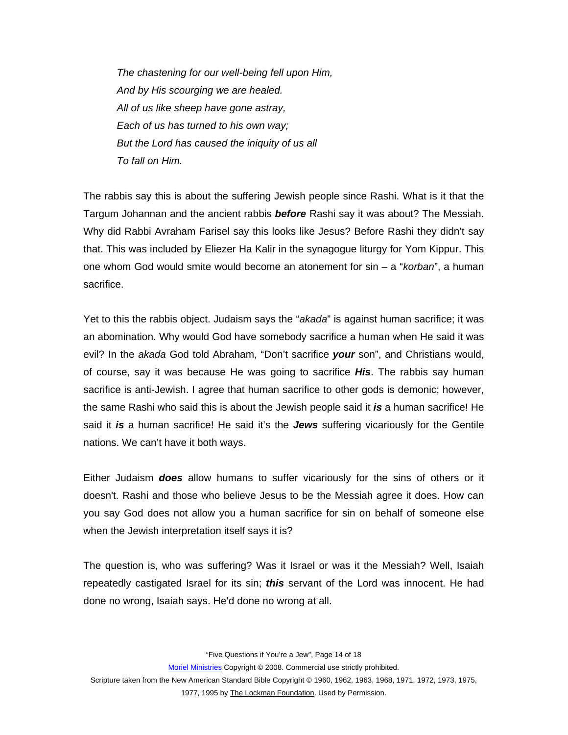*The chastening for our well-being fell upon Him, And by His scourging we are healed. All of us like sheep have gone astray, Each of us has turned to his own way; But the Lord has caused the iniquity of us all To fall on Him.* 

The rabbis say this is about the suffering Jewish people since Rashi. What is it that the Targum Johannan and the ancient rabbis *before* Rashi say it was about? The Messiah. Why did Rabbi Avraham Farisel say this looks like Jesus? Before Rashi they didn't say that. This was included by Eliezer Ha Kalir in the synagogue liturgy for Yom Kippur. This one whom God would smite would become an atonement for sin – a "*korban*", a human sacrifice.

Yet to this the rabbis object. Judaism says the "*akada*" is against human sacrifice; it was an abomination. Why would God have somebody sacrifice a human when He said it was evil? In the *akada* God told Abraham, "Don't sacrifice *your* son", and Christians would, of course, say it was because He was going to sacrifice *His*. The rabbis say human sacrifice is anti-Jewish. I agree that human sacrifice to other gods is demonic; however, the same Rashi who said this is about the Jewish people said it *is* a human sacrifice! He said it *is* a human sacrifice! He said it's the *Jews* suffering vicariously for the Gentile nations. We can't have it both ways.

Either Judaism *does* allow humans to suffer vicariously for the sins of others or it doesn't. Rashi and those who believe Jesus to be the Messiah agree it does. How can you say God does not allow you a human sacrifice for sin on behalf of someone else when the Jewish interpretation itself says it is?

The question is, who was suffering? Was it Israel or was it the Messiah? Well, Isaiah repeatedly castigated Israel for its sin; *this* servant of the Lord was innocent. He had done no wrong, Isaiah says. He'd done no wrong at all.

"Five Questions if You're a Jew", Page 14 of 18

Moriel Ministries Copyright © 2008. Commercial use strictly prohibited.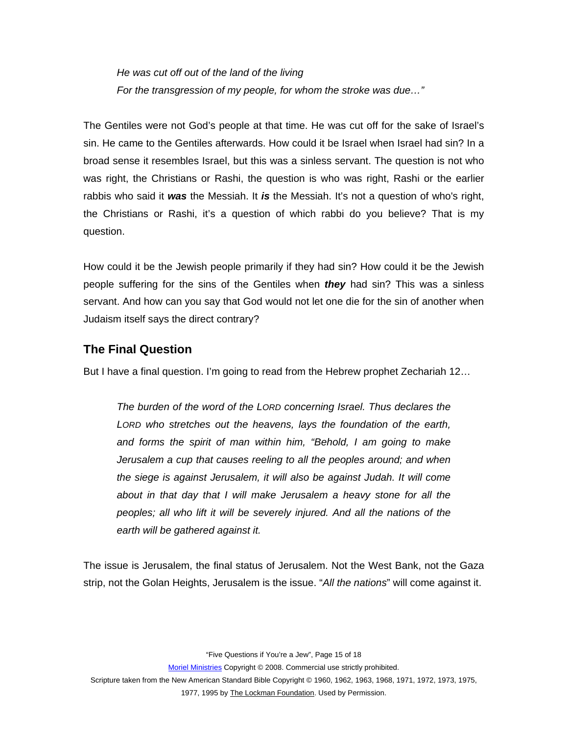<span id="page-14-0"></span>*He was cut off out of the land of the living For the transgression of my people, for whom the stroke was due…"* 

The Gentiles were not God's people at that time. He was cut off for the sake of Israel's sin. He came to the Gentiles afterwards. How could it be Israel when Israel had sin? In a broad sense it resembles Israel, but this was a sinless servant. The question is not who was right, the Christians or Rashi, the question is who was right, Rashi or the earlier rabbis who said it *was* the Messiah. It *is* the Messiah. It's not a question of who's right, the Christians or Rashi, it's a question of which rabbi do you believe? That is my question.

How could it be the Jewish people primarily if they had sin? How could it be the Jewish people suffering for the sins of the Gentiles when *they* had sin? This was a sinless servant. And how can you say that God would not let one die for the sin of another when Judaism itself says the direct contrary?

## **The Final Question**

But I have a final question. I'm going to read from the Hebrew prophet Zechariah 12…

*The burden of the word of the LORD concerning Israel. Thus declares the LORD who stretches out the heavens, lays the foundation of the earth, and forms the spirit of man within him, "Behold, I am going to make Jerusalem a cup that causes reeling to all the peoples around; and when the siege is against Jerusalem, it will also be against Judah. It will come about in that day that I will make Jerusalem a heavy stone for all the peoples; all who lift it will be severely injured. And all the nations of the earth will be gathered against it.* 

The issue is Jerusalem, the final status of Jerusalem. Not the West Bank, not the Gaza strip, not the Golan Heights, Jerusalem is the issue. "*All the nations*" will come against it.

"Five Questions if You're a Jew", Page 15 of 18

Moriel Ministries Copyright © 2008. Commercial use strictly prohibited.

Scripture taken from the New American Standard Bible Copyright © 1960, 1962, 1963, 1968, 1971, 1972, 1973, 1975,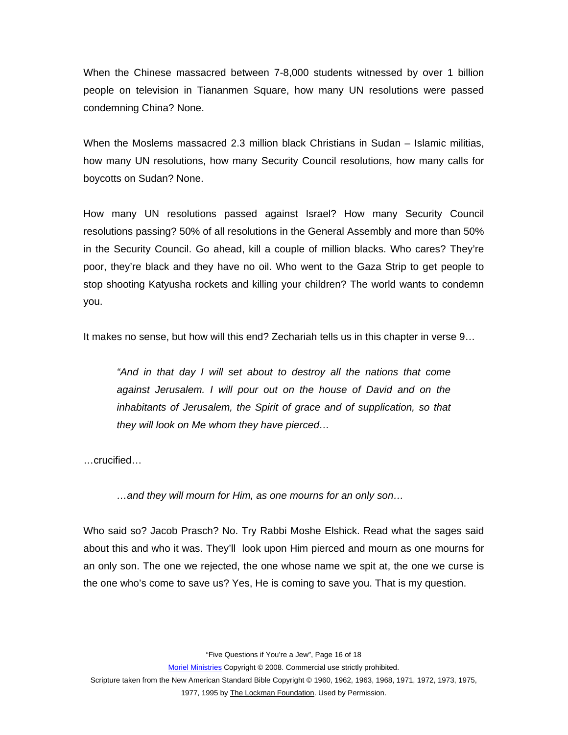When the Chinese massacred between 7-8,000 students witnessed by over 1 billion people on television in Tiananmen Square, how many UN resolutions were passed condemning China? None.

When the Moslems massacred 2.3 million black Christians in Sudan – Islamic militias, how many UN resolutions, how many Security Council resolutions, how many calls for boycotts on Sudan? None.

How many UN resolutions passed against Israel? How many Security Council resolutions passing? 50% of all resolutions in the General Assembly and more than 50% in the Security Council. Go ahead, kill a couple of million blacks. Who cares? They're poor, they're black and they have no oil. Who went to the Gaza Strip to get people to stop shooting Katyusha rockets and killing your children? The world wants to condemn you.

It makes no sense, but how will this end? Zechariah tells us in this chapter in verse 9…

*"And in that day I will set about to destroy all the nations that come against Jerusalem. I will pour out on the house of David and on the inhabitants of Jerusalem, the Spirit of grace and of supplication, so that they will look on Me whom they have pierced…* 

…crucified…

*…and they will mourn for Him, as one mourns for an only son…* 

Who said so? Jacob Prasch? No. Try Rabbi Moshe Elshick. Read what the sages said about this and who it was. They'll look upon Him pierced and mourn as one mourns for an only son. The one we rejected, the one whose name we spit at, the one we curse is the one who's come to save us? Yes, He is coming to save you. That is my question.

"Five Questions if You're a Jew", Page 16 of 18

Moriel Ministries Copyright © 2008. Commercial use strictly prohibited.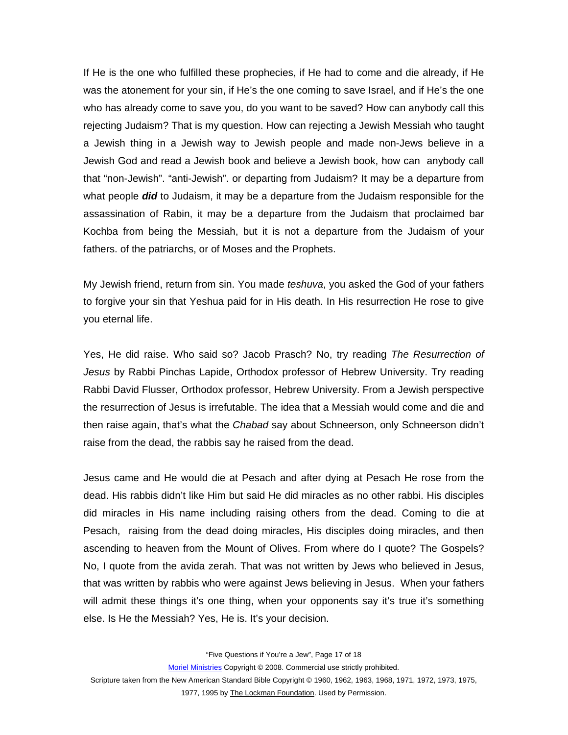If He is the one who fulfilled these prophecies, if He had to come and die already, if He was the atonement for your sin, if He's the one coming to save Israel, and if He's the one who has already come to save you, do you want to be saved? How can anybody call this rejecting Judaism? That is my question. How can rejecting a Jewish Messiah who taught a Jewish thing in a Jewish way to Jewish people and made non-Jews believe in a Jewish God and read a Jewish book and believe a Jewish book, how can anybody call that "non-Jewish". "anti-Jewish". or departing from Judaism? It may be a departure from what people *did* to Judaism, it may be a departure from the Judaism responsible for the assassination of Rabin, it may be a departure from the Judaism that proclaimed bar Kochba from being the Messiah, but it is not a departure from the Judaism of your fathers. of the patriarchs, or of Moses and the Prophets.

My Jewish friend, return from sin. You made *teshuva*, you asked the God of your fathers to forgive your sin that Yeshua paid for in His death. In His resurrection He rose to give you eternal life.

Yes, He did raise. Who said so? Jacob Prasch? No, try reading *The Resurrection of Jesus* by Rabbi Pinchas Lapide, Orthodox professor of Hebrew University. Try reading Rabbi David Flusser, Orthodox professor, Hebrew University. From a Jewish perspective the resurrection of Jesus is irrefutable. The idea that a Messiah would come and die and then raise again, that's what the *Chabad* say about Schneerson, only Schneerson didn't raise from the dead, the rabbis say he raised from the dead.

Jesus came and He would die at Pesach and after dying at Pesach He rose from the dead. His rabbis didn't like Him but said He did miracles as no other rabbi. His disciples did miracles in His name including raising others from the dead. Coming to die at Pesach, raising from the dead doing miracles, His disciples doing miracles, and then ascending to heaven from the Mount of Olives. From where do I quote? The Gospels? No, I quote from the avida zerah. That was not written by Jews who believed in Jesus, that was written by rabbis who were against Jews believing in Jesus. When your fathers will admit these things it's one thing, when your opponents say it's true it's something else. Is He the Messiah? Yes, He is. It's your decision.

"Five Questions if You're a Jew", Page 17 of 18

Moriel Ministries Copyright © 2008. Commercial use strictly prohibited.

Scripture taken from the New American Standard Bible Copyright © 1960, 1962, 1963, 1968, 1971, 1972, 1973, 1975,